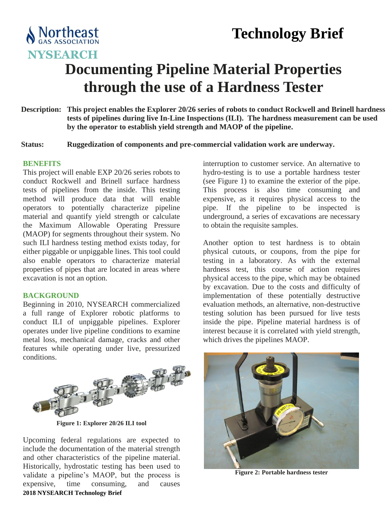## **Technology Brief**



# **Documenting Pipeline Material Properties through the use of a Hardness Tester**

- **Description: This project enables the Explorer 20/26 series of robots to conduct Rockwell and Brinell hardness tests of pipelines during live In-Line Inspections (ILI). The hardness measurement can be used by the operator to establish yield strength and MAOP of the pipeline.**
- **Status: Ruggedization of components and pre-commercial validation work are underway.**

#### **BENEFITS**

This project will enable EXP 20/26 series robots to conduct Rockwell and Brinell surface hardness tests of pipelines from the inside. This testing method will produce data that will enable operators to potentially characterize pipeline material and quantify yield strength or calculate the Maximum Allowable Operating Pressure (MAOP) for segments throughout their system. No such ILI hardness testing method exists today, for either piggable or unpiggable lines. This tool could also enable operators to characterize material properties of pipes that are located in areas where excavation is not an option.

#### **BACKGROUND**

Beginning in 2010, NYSEARCH commercialized a full range of Explorer robotic platforms to conduct ILI of unpiggable pipelines. Explorer operates under live pipeline conditions to examine metal loss, mechanical damage, cracks and other features while operating under live, pressurized conditions.



**Figure 1: Explorer 20/26 ILI tool**

**2018 NYSEARCH Technology Brief** Upcoming federal regulations are expected to include the documentation of the material strength and other characteristics of the pipeline material. Historically, hydrostatic testing has been used to validate a pipeline's MAOP, but the process is expensive, time consuming, and causes

interruption to customer service. An alternative to hydro-testing is to use a portable hardness tester (see Figure 1) to examine the exterior of the pipe. This process is also time consuming and expensive, as it requires physical access to the pipe. If the pipeline to be inspected is underground, a series of excavations are necessary to obtain the requisite samples.

Another option to test hardness is to obtain physical cutouts, or coupons, from the pipe for testing in a laboratory. As with the external hardness test, this course of action requires physical access to the pipe, which may be obtained by excavation. Due to the costs and difficulty of implementation of these potentially destructive evaluation methods, an alternative, non-destructive testing solution has been pursued for live tests inside the pipe. Pipeline material hardness is of interest because it is correlated with yield strength, which drives the pipelines MAOP.



**Figure 2: Portable hardness tester**